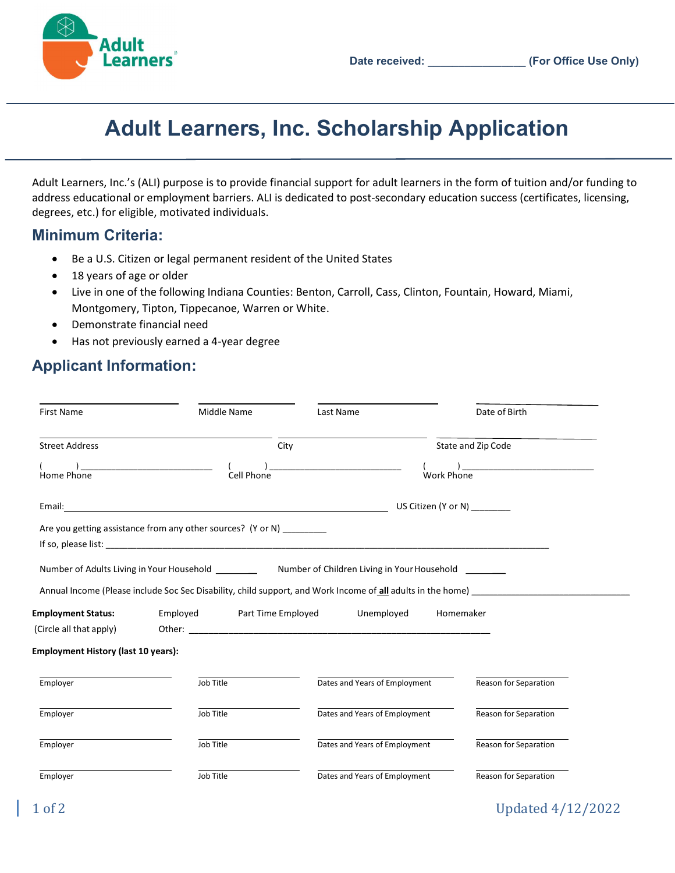

# Adult Learners, Inc. Scholarship Application

Adult Learners, Inc.'s (ALI) purpose is to provide financial support for adult learners in the form of tuition and/or funding to address educational or employment barriers. ALI is dedicated to post-secondary education success (certificates, licensing, degrees, etc.) for eligible, motivated individuals.

### Minimum Criteria:

- Be a U.S. Citizen or legal permanent resident of the United States
- 18 years of age or older
- Live in one of the following Indiana Counties: Benton, Carroll, Cass, Clinton, Fountain, Howard, Miami, Montgomery, Tipton, Tippecanoe, Warren or White.
- Demonstrate financial need
- Has not previously earned a 4-year degree

## Applicant Information:

| <b>First Name</b>                          | Middle Name                                                                                             | Last Name                                                                                 | Date of Birth                                                                                               |  |
|--------------------------------------------|---------------------------------------------------------------------------------------------------------|-------------------------------------------------------------------------------------------|-------------------------------------------------------------------------------------------------------------|--|
| <b>Street Address</b>                      | City                                                                                                    |                                                                                           | State and Zip Code                                                                                          |  |
| Home Phone                                 | the control of the control of the control of the control of the control of the control of<br>Cell Phone | the control of the control of the control of the control of the control of the control of | <b>Work Phone</b>                                                                                           |  |
|                                            |                                                                                                         |                                                                                           | US Citizen (Y or N)                                                                                         |  |
|                                            | Are you getting assistance from any other sources? (Y or N) _________                                   |                                                                                           |                                                                                                             |  |
|                                            |                                                                                                         |                                                                                           |                                                                                                             |  |
|                                            |                                                                                                         |                                                                                           | Annual Income (Please include Soc Sec Disability, child support, and Work Income of all adults in the home) |  |
| <b>Employment Status:</b>                  | Employed Part Time Employed                                                                             | Unemployed                                                                                | Homemaker                                                                                                   |  |
| (Circle all that apply)                    |                                                                                                         |                                                                                           |                                                                                                             |  |
| <b>Employment History (last 10 years):</b> |                                                                                                         |                                                                                           |                                                                                                             |  |
| Employer                                   | Job Title                                                                                               | Dates and Years of Employment                                                             | Reason for Separation                                                                                       |  |
| Employer                                   | Job Title                                                                                               | Dates and Years of Employment                                                             | Reason for Separation                                                                                       |  |
| Employer                                   | Job Title                                                                                               | Dates and Years of Employment                                                             | Reason for Separation                                                                                       |  |
| Employer                                   | Job Title                                                                                               | Dates and Years of Employment                                                             | Reason for Separation                                                                                       |  |

### 1 of 2 Updated 4/12/2022